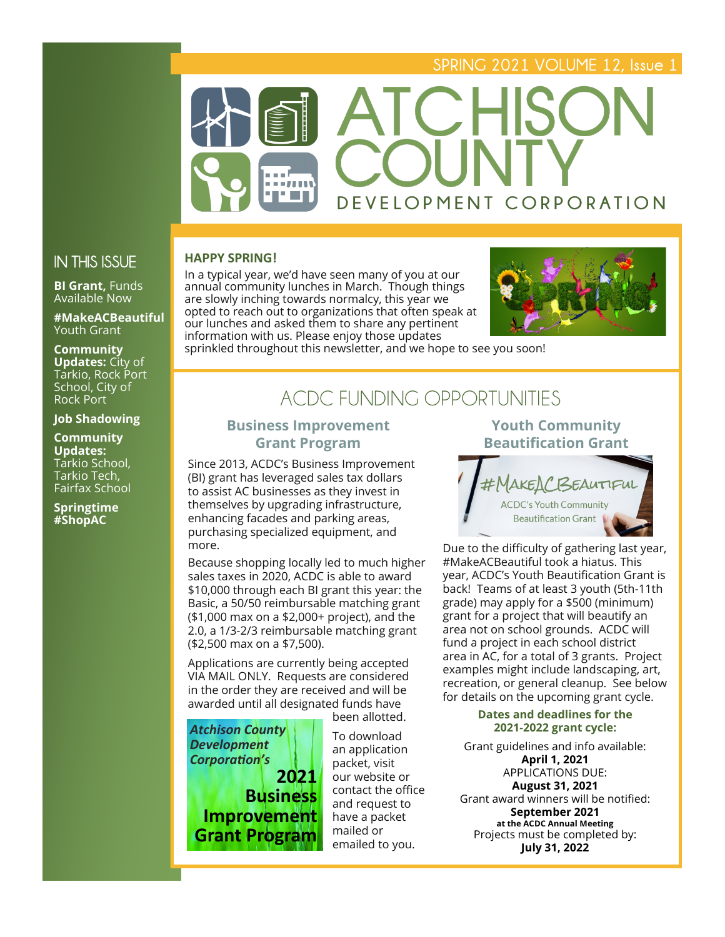## **SPRING 2021 VOLUME 12, Issue 1**



## **IN THIS ISSUE**

**BI Grant, Funds** Available Now

**#MakeACBeautiful**  Youth Grant

**Community Updates:** City of Tarkio, Rock Port School, City of Rock Port

#### **Job Shadowing**

**Community Updates:**  Tarkio School, Tarkio Tech, Fairfax School

**Springtime #ShopAC**

#### **HAPPY SPRING!**

In a typical year, we'd have seen many of you at our annual community lunches in March. Though things are slowly inching towards normalcy, this year we opted to reach out to organizations that often speak at our lunches and asked them to share any pertinent information with us. Please enjoy those updates



sprinkled throughout this newsletter, and we hope to see you soon!

## **ACDC FUNDING OPPORTUNITIES**

## **Business Improvement Grant Program**

Since 2013, ACDC's Business Improvement (BI) grant has leveraged sales tax dollars to assist AC businesses as they invest in themselves by upgrading infrastructure, enhancing facades and parking areas, purchasing specialized equipment, and more.

Because shopping locally led to much higher sales taxes in 2020, ACDC is able to award \$10,000 through each BI grant this year: the Basic, a 50/50 reimbursable matching grant (\$1,000 max on a \$2,000+ project), and the 2.0, a 1/3-2/3 reimbursable matching grant (\$2,500 max on a \$7,500).

Applications are currently being accepted VIA MAIL ONLY. Requests are considered in the order they are received and will be awarded until all designated funds have been allotted.



To download an application packet, visit our website or contact the office and request to have a packet mailed or emailed to you.

#### **Youth Community Beautification Grant**



Due to the difficulty of gathering last year, #MakeACBeautiful took a hiatus. This year, ACDC's Youth Beautification Grant is back! Teams of at least 3 youth (5th-11th grade) may apply for a \$500 (minimum) grant for a project that will beautify an area not on school grounds. ACDC will fund a project in each school district area in AC, for a total of 3 grants. Project examples might include landscaping, art, recreation, or general cleanup. See below for details on the upcoming grant cycle.

#### **Dates and deadlines for the 2021-2022 grant cycle:**

Grant guidelines and info available: **April 1, 2021** APPLICATIONS DUE: **August 31, 2021** Grant award winners will be notified: **September 2021 at the ACDC Annual Meeting** Projects must be completed by: **July 31, 2022**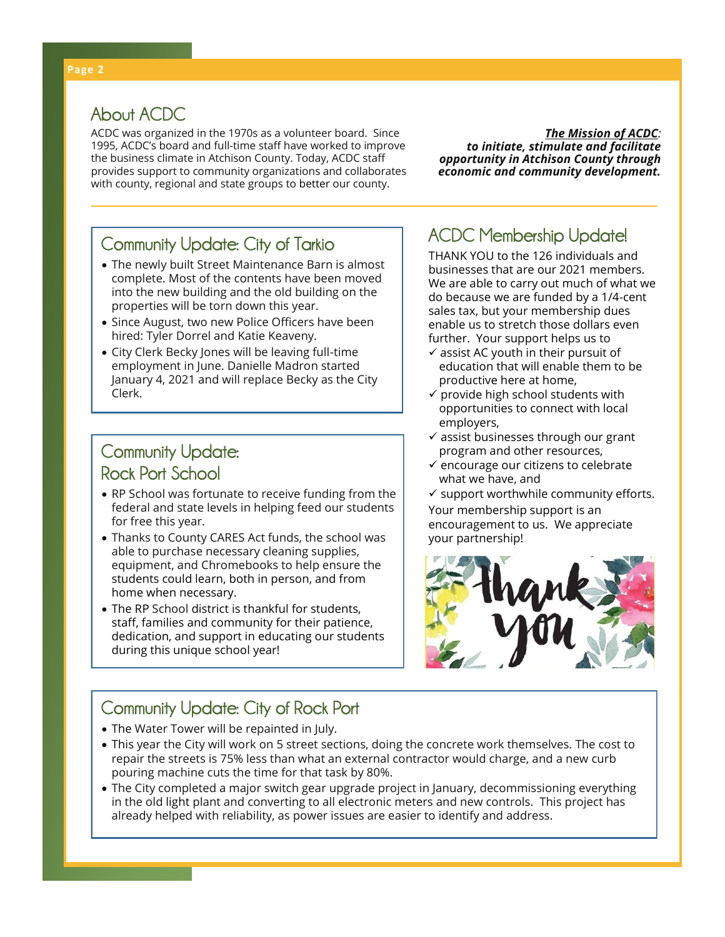## **About ACDC**

ACDC was organized in the 1970s as a volunteer board. Since 1995, ACDC's board and full-time staff have worked to improve the business climate in Atchison County. Today, ACDC staff provides support to community organizations and collaborates with county, regional and state groups to better our county.

*The Mission of ACDC: to initiate, stimulate and facilitate opportunity in Atchison County through economic and community development.*

# **ACDC Membership Update! Community Update: City of Tarkio**

- The newly built Street Maintenance Barn is almost complete. Most of the contents have been moved into the new building and the old building on the properties will be torn down this year.
- Since August, two new Police Officers have been hired: Tyler Dorrel and Katie Keaveny.
- City Clerk Becky Jones will be leaving full-time employment in June. Danielle Madron started January 4, 2021 and will replace Becky as the City Clerk.

## **Community Update: Rock Port School**

- RP School was fortunate to receive funding from the federal and state levels in helping feed our students for free this year.
- Thanks to County CARES Act funds, the school was able to purchase necessary cleaning supplies, equipment, and Chromebooks to help ensure the students could learn, both in person, and from home when necessary.
- The RP School district is thankful for students, staff, families and community for their patience, dedication, and support in educating our students during this unique school year!

THANK YOU to the 126 individuals and businesses that are our 2021 members. We are able to carry out much of what we do because we are funded by a 1/4-cent sales tax, but your membership dues enable us to stretch those dollars even further. Your support helps us to

- $\checkmark$  assist AC youth in their pursuit of education that will enable them to be productive here at home,
- $\checkmark$  provide high school students with opportunities to connect with local employers,
- $\checkmark$  assist businesses through our grant program and other resources,
- $\checkmark$  encourage our citizens to celebrate what we have, and
- $\checkmark$  support worthwhile community efforts.

Your membership support is an encouragement to us. We appreciate your partnership!



## **Community Update: City of Rock Port**

- The Water Tower will be repainted in July.
- This year the City will work on 5 street sections, doing the concrete work themselves. The cost to repair the streets is 75% less than what an external contractor would charge, and a new curb pouring machine cuts the time for that task by 80%.
- The City completed a major switch gear upgrade project in January, decommissioning everything in the old light plant and converting to all electronic meters and new controls. This project has already helped with reliability, as power issues are easier to identify and address.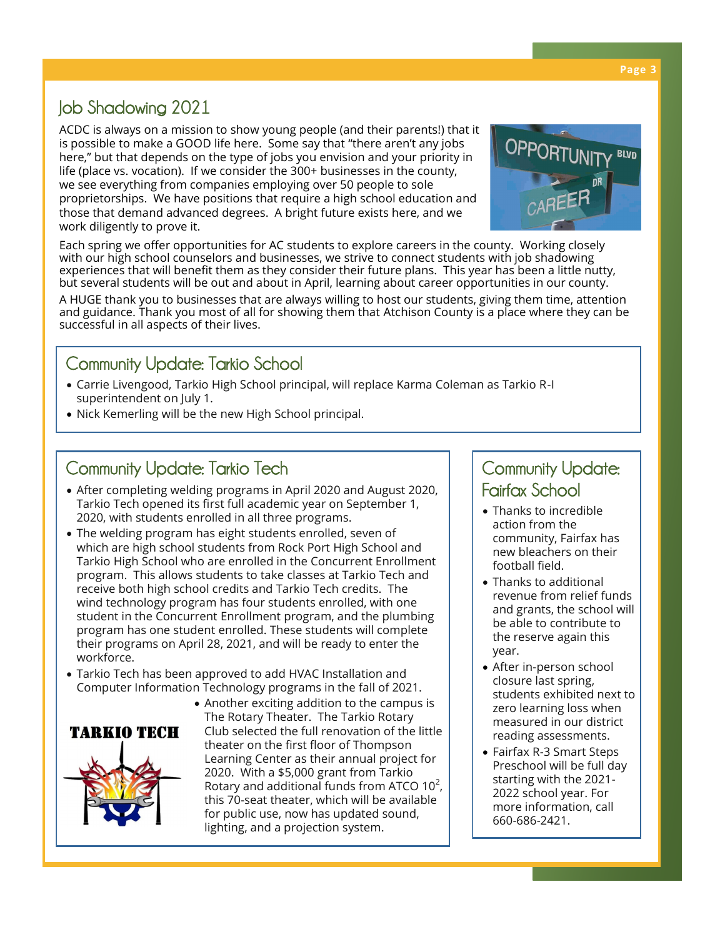#### **Page 3**

## **Job Shadowing 2021**

ACDC is always on a mission to show young people (and their parents!) that it is possible to make a GOOD life here. Some say that "there aren't any jobs here," but that depends on the type of jobs you envision and your priority in life (place vs. vocation). If we consider the 300+ businesses in the county, we see everything from companies employing over 50 people to sole proprietorships. We have positions that require a high school education and those that demand advanced degrees. A bright future exists here, and we work diligently to prove it.



Each spring we offer opportunities for AC students to explore careers in the county. Working closely with our high school counselors and businesses, we strive to connect students with job shadowing experiences that will benefit them as they consider their future plans. This year has been a little nutty, but several students will be out and about in April, learning about career opportunities in our county.

A HUGE thank you to businesses that are always willing to host our students, giving them time, attention and guidance. Thank you most of all for showing them that Atchison County is a place where they can be successful in all aspects of their lives.

## **Community Update: Tarkio School**

- Carrie Livengood, Tarkio High School principal, will replace Karma Coleman as Tarkio R-I superintendent on July 1.
- Nick Kemerling will be the new High School principal.

## **Community Update: Tarkio Tech**

- After completing welding programs in April 2020 and August 2020, Tarkio Tech opened its first full academic year on September 1, 2020, with students enrolled in all three programs.
- The welding program has eight students enrolled, seven of which are high school students from Rock Port High School and Tarkio High School who are enrolled in the Concurrent Enrollment program. This allows students to take classes at Tarkio Tech and receive both high school credits and Tarkio Tech credits. The wind technology program has four students enrolled, with one student in the Concurrent Enrollment program, and the plumbing program has one student enrolled. These students will complete their programs on April 28, 2021, and will be ready to enter the workforce.
- Tarkio Tech has been approved to add HVAC Installation and Computer Information Technology programs in the fall of 2021.



• Another exciting addition to the campus is The Rotary Theater. The Tarkio Rotary Club selected the full renovation of the little theater on the first floor of Thompson Learning Center as their annual project for 2020. With a \$5,000 grant from Tarkio Rotary and additional funds from ATCO  $10^2$ , this 70-seat theater, which will be available for public use, now has updated sound, lighting, and a projection system.

## **Community Update: Fairfax School**

- Thanks to incredible action from the community, Fairfax has new bleachers on their football field.
- Thanks to additional revenue from relief funds and grants, the school will be able to contribute to the reserve again this year.
- After in-person school closure last spring, students exhibited next to zero learning loss when measured in our district reading assessments.
- Fairfax R-3 Smart Steps Preschool will be full day starting with the 2021- 2022 school year. For more information, call 660-686-2421.